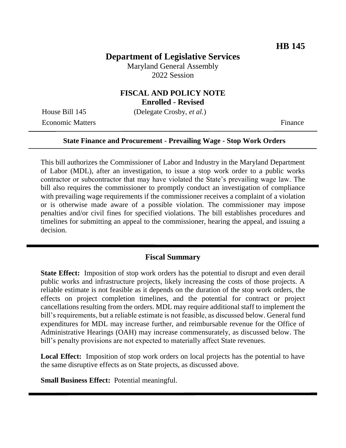# **Department of Legislative Services**

Maryland General Assembly 2022 Session

## **FISCAL AND POLICY NOTE Enrolled - Revised**

House Bill 145 (Delegate Crosby, *et al.*)

Economic Matters Finance

#### **State Finance and Procurement - Prevailing Wage - Stop Work Orders**

This bill authorizes the Commissioner of Labor and Industry in the Maryland Department of Labor (MDL), after an investigation, to issue a stop work order to a public works contractor or subcontractor that may have violated the State's prevailing wage law. The bill also requires the commissioner to promptly conduct an investigation of compliance with prevailing wage requirements if the commissioner receives a complaint of a violation or is otherwise made aware of a possible violation. The commissioner may impose penalties and/or civil fines for specified violations. The bill establishes procedures and timelines for submitting an appeal to the commissioner, hearing the appeal, and issuing a decision.

#### **Fiscal Summary**

**State Effect:** Imposition of stop work orders has the potential to disrupt and even derail public works and infrastructure projects, likely increasing the costs of those projects. A reliable estimate is not feasible as it depends on the duration of the stop work orders, the effects on project completion timelines, and the potential for contract or project cancellations resulting from the orders. MDL may require additional staff to implement the bill's requirements, but a reliable estimate is not feasible, as discussed below. General fund expenditures for MDL may increase further, and reimbursable revenue for the Office of Administrative Hearings (OAH) may increase commensurately, as discussed below. The bill's penalty provisions are not expected to materially affect State revenues.

**Local Effect:** Imposition of stop work orders on local projects has the potential to have the same disruptive effects as on State projects, as discussed above.

**Small Business Effect:** Potential meaningful.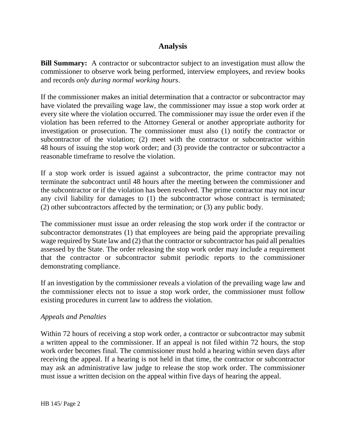# **Analysis**

**Bill Summary:** A contractor or subcontractor subject to an investigation must allow the commissioner to observe work being performed, interview employees, and review books and records *only during normal working hours*.

If the commissioner makes an initial determination that a contractor or subcontractor may have violated the prevailing wage law, the commissioner may issue a stop work order at every site where the violation occurred. The commissioner may issue the order even if the violation has been referred to the Attorney General or another appropriate authority for investigation or prosecution. The commissioner must also (1) notify the contractor or subcontractor of the violation; (2) meet with the contractor or subcontractor within 48 hours of issuing the stop work order; and (3) provide the contractor or subcontractor a reasonable timeframe to resolve the violation.

If a stop work order is issued against a subcontractor, the prime contractor may not terminate the subcontract until 48 hours after the meeting between the commissioner and the subcontractor or if the violation has been resolved. The prime contractor may not incur any civil liability for damages to (1) the subcontractor whose contract is terminated; (2) other subcontractors affected by the termination; or (3) any public body.

The commissioner must issue an order releasing the stop work order if the contractor or subcontractor demonstrates (1) that employees are being paid the appropriate prevailing wage required by State law and (2) that the contractor or subcontractor has paid all penalties assessed by the State. The order releasing the stop work order may include a requirement that the contractor or subcontractor submit periodic reports to the commissioner demonstrating compliance.

If an investigation by the commissioner reveals a violation of the prevailing wage law and the commissioner elects not to issue a stop work order, the commissioner must follow existing procedures in current law to address the violation.

## *Appeals and Penalties*

Within 72 hours of receiving a stop work order, a contractor or subcontractor may submit a written appeal to the commissioner. If an appeal is not filed within 72 hours, the stop work order becomes final. The commissioner must hold a hearing within seven days after receiving the appeal. If a hearing is not held in that time, the contractor or subcontractor may ask an administrative law judge to release the stop work order. The commissioner must issue a written decision on the appeal within five days of hearing the appeal.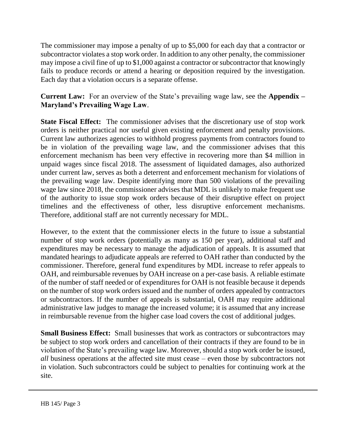The commissioner may impose a penalty of up to \$5,000 for each day that a contractor or subcontractor violates a stop work order. In addition to any other penalty, the commissioner may impose a civil fine of up to \$1,000 against a contractor or subcontractor that knowingly fails to produce records or attend a hearing or deposition required by the investigation. Each day that a violation occurs is a separate offense.

**Current Law:** For an overview of the State's prevailing wage law, see the **Appendix – Maryland's Prevailing Wage Law**.

**State Fiscal Effect:** The commissioner advises that the discretionary use of stop work orders is neither practical nor useful given existing enforcement and penalty provisions. Current law authorizes agencies to withhold progress payments from contractors found to be in violation of the prevailing wage law, and the commissioner advises that this enforcement mechanism has been very effective in recovering more than \$4 million in unpaid wages since fiscal 2018. The assessment of liquidated damages, also authorized under current law, serves as both a deterrent and enforcement mechanism for violations of the prevailing wage law. Despite identifying more than 500 violations of the prevailing wage law since 2018, the commissioner advises that MDL is unlikely to make frequent use of the authority to issue stop work orders because of their disruptive effect on project timelines and the effectiveness of other, less disruptive enforcement mechanisms. Therefore, additional staff are not currently necessary for MDL.

However, to the extent that the commissioner elects in the future to issue a substantial number of stop work orders (potentially as many as 150 per year), additional staff and expenditures may be necessary to manage the adjudication of appeals. It is assumed that mandated hearings to adjudicate appeals are referred to OAH rather than conducted by the commissioner. Therefore, general fund expenditures by MDL increase to refer appeals to OAH, and reimbursable revenues by OAH increase on a per-case basis. A reliable estimate of the number of staff needed or of expenditures for OAH is not feasible because it depends on the number of stop work orders issued and the number of orders appealed by contractors or subcontractors. If the number of appeals is substantial, OAH may require additional administrative law judges to manage the increased volume; it is assumed that any increase in reimbursable revenue from the higher case load covers the cost of additional judges.

**Small Business Effect:** Small businesses that work as contractors or subcontractors may be subject to stop work orders and cancellation of their contracts if they are found to be in violation of the State's prevailing wage law. Moreover, should a stop work order be issued, *all* business operations at the affected site must cease – even those by subcontractors not in violation. Such subcontractors could be subject to penalties for continuing work at the site.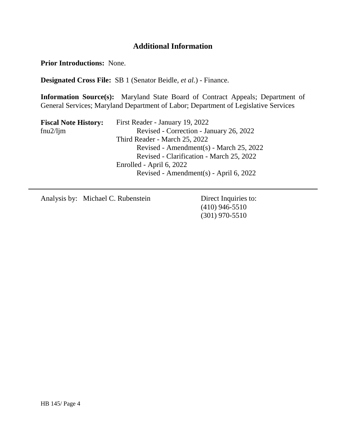# **Additional Information**

**Prior Introductions:** None.

**Designated Cross File:** SB 1 (Senator Beidle, *et al.*) - Finance.

**Information Source(s):** Maryland State Board of Contract Appeals; Department of General Services; Maryland Department of Labor; Department of Legislative Services

| First Reader - January 19, 2022          |
|------------------------------------------|
| Revised - Correction - January 26, 2022  |
| Third Reader - March 25, 2022            |
| Revised - Amendment(s) - March 25, 2022  |
| Revised - Clarification - March 25, 2022 |
| Enrolled - April 6, 2022                 |
| Revised - Amendment(s) - April 6, 2022   |
|                                          |

Analysis by: Michael C. Rubenstein Direct Inquiries to:

(410) 946-5510 (301) 970-5510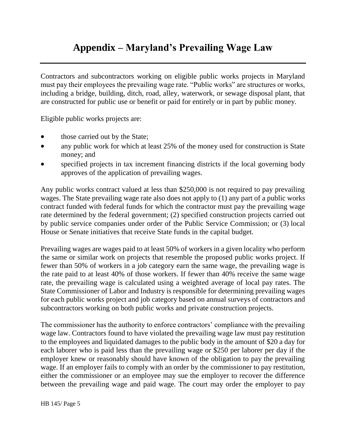# **Appendix – Maryland's Prevailing Wage Law**

Contractors and subcontractors working on eligible public works projects in Maryland must pay their employees the prevailing wage rate. "Public works" are structures or works, including a bridge, building, ditch, road, alley, waterwork, or sewage disposal plant, that are constructed for public use or benefit or paid for entirely or in part by public money.

Eligible public works projects are:

- those carried out by the State;
- any public work for which at least 25% of the money used for construction is State money; and
- specified projects in tax increment financing districts if the local governing body approves of the application of prevailing wages.

Any public works contract valued at less than \$250,000 is not required to pay prevailing wages. The State prevailing wage rate also does not apply to (1) any part of a public works contract funded with federal funds for which the contractor must pay the prevailing wage rate determined by the federal government; (2) specified construction projects carried out by public service companies under order of the Public Service Commission; or (3) local House or Senate initiatives that receive State funds in the capital budget.

Prevailing wages are wages paid to at least 50% of workers in a given locality who perform the same or similar work on projects that resemble the proposed public works project. If fewer than 50% of workers in a job category earn the same wage, the prevailing wage is the rate paid to at least 40% of those workers. If fewer than 40% receive the same wage rate, the prevailing wage is calculated using a weighted average of local pay rates. The State Commissioner of Labor and Industry is responsible for determining prevailing wages for each public works project and job category based on annual surveys of contractors and subcontractors working on both public works and private construction projects.

The commissioner has the authority to enforce contractors' compliance with the prevailing wage law. Contractors found to have violated the prevailing wage law must pay restitution to the employees and liquidated damages to the public body in the amount of \$20 a day for each laborer who is paid less than the prevailing wage or \$250 per laborer per day if the employer knew or reasonably should have known of the obligation to pay the prevailing wage. If an employer fails to comply with an order by the commissioner to pay restitution, either the commissioner or an employee may sue the employer to recover the difference between the prevailing wage and paid wage. The court may order the employer to pay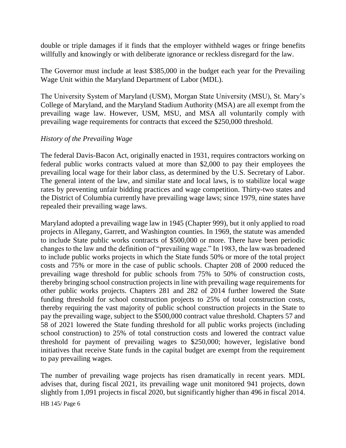double or triple damages if it finds that the employer withheld wages or fringe benefits willfully and knowingly or with deliberate ignorance or reckless disregard for the law.

The Governor must include at least \$385,000 in the budget each year for the Prevailing Wage Unit within the Maryland Department of Labor (MDL).

The University System of Maryland (USM), Morgan State University (MSU), St. Mary's College of Maryland, and the Maryland Stadium Authority (MSA) are all exempt from the prevailing wage law. However, USM, MSU, and MSA all voluntarily comply with prevailing wage requirements for contracts that exceed the \$250,000 threshold.

## *History of the Prevailing Wage*

The federal Davis-Bacon Act, originally enacted in 1931, requires contractors working on federal public works contracts valued at more than \$2,000 to pay their employees the prevailing local wage for their labor class, as determined by the U.S. Secretary of Labor. The general intent of the law, and similar state and local laws, is to stabilize local wage rates by preventing unfair bidding practices and wage competition. Thirty-two states and the District of Columbia currently have prevailing wage laws; since 1979, nine states have repealed their prevailing wage laws.

Maryland adopted a prevailing wage law in 1945 (Chapter 999), but it only applied to road projects in Allegany, Garrett, and Washington counties. In 1969, the statute was amended to include State public works contracts of \$500,000 or more. There have been periodic changes to the law and the definition of "prevailing wage." In 1983, the law was broadened to include public works projects in which the State funds 50% or more of the total project costs and 75% or more in the case of public schools. Chapter 208 of 2000 reduced the prevailing wage threshold for public schools from 75% to 50% of construction costs, thereby bringing school construction projects in line with prevailing wage requirements for other public works projects. Chapters 281 and 282 of 2014 further lowered the State funding threshold for school construction projects to 25% of total construction costs, thereby requiring the vast majority of public school construction projects in the State to pay the prevailing wage, subject to the \$500,000 contract value threshold. Chapters 57 and 58 of 2021 lowered the State funding threshold for all public works projects (including school construction) to 25% of total construction costs and lowered the contract value threshold for payment of prevailing wages to \$250,000; however, legislative bond initiatives that receive State funds in the capital budget are exempt from the requirement to pay prevailing wages.

The number of prevailing wage projects has risen dramatically in recent years. MDL advises that, during fiscal 2021, its prevailing wage unit monitored 941 projects, down slightly from 1,091 projects in fiscal 2020, but significantly higher than 496 in fiscal 2014.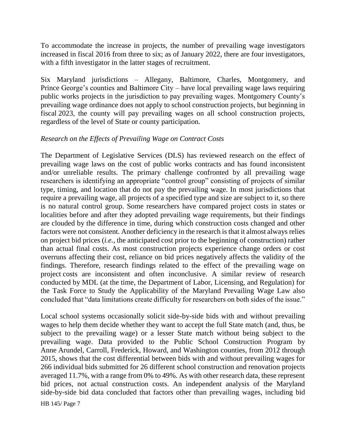To accommodate the increase in projects, the number of prevailing wage investigators increased in fiscal 2016 from three to six; as of January 2022, there are four investigators, with a fifth investigator in the latter stages of recruitment.

Six Maryland jurisdictions – Allegany, Baltimore, Charles, Montgomery, and Prince George's counties and Baltimore City – have local prevailing wage laws requiring public works projects in the jurisdiction to pay prevailing wages. Montgomery County's prevailing wage ordinance does not apply to school construction projects, but beginning in fiscal 2023, the county will pay prevailing wages on all school construction projects, regardless of the level of State or county participation.

#### *Research on the Effects of Prevailing Wage on Contract Costs*

The Department of Legislative Services (DLS) has reviewed research on the effect of prevailing wage laws on the cost of public works contracts and has found inconsistent and/or unreliable results. The primary challenge confronted by all prevailing wage researchers is identifying an appropriate "control group" consisting of projects of similar type, timing, and location that do not pay the prevailing wage. In most jurisdictions that require a prevailing wage, all projects of a specified type and size are subject to it, so there is no natural control group. Some researchers have compared project costs in states or localities before and after they adopted prevailing wage requirements, but their findings are clouded by the difference in time, during which construction costs changed and other factors were not consistent. Another deficiency in the research is that it almost always relies on project bid prices (*i.e.*, the anticipated cost prior to the beginning of construction) rather than actual final costs. As most construction projects experience change orders or cost overruns affecting their cost, reliance on bid prices negatively affects the validity of the findings. Therefore, research findings related to the effect of the prevailing wage on project costs are inconsistent and often inconclusive. A similar review of research conducted by MDL (at the time, the Department of Labor, Licensing, and Regulation) for the Task Force to Study the Applicability of the Maryland Prevailing Wage Law also concluded that "data limitations create difficulty for researchers on both sides of the issue."

Local school systems occasionally solicit side-by-side bids with and without prevailing wages to help them decide whether they want to accept the full State match (and, thus, be subject to the prevailing wage) or a lesser State match without being subject to the prevailing wage. Data provided to the Public School Construction Program by Anne Arundel, Carroll, Frederick, Howard, and Washington counties, from 2012 through 2015, shows that the cost differential between bids with and without prevailing wages for 266 individual bids submitted for 26 different school construction and renovation projects averaged 11.7%, with a range from 0% to 49%. As with other research data, these represent bid prices, not actual construction costs. An independent analysis of the Maryland side-by-side bid data concluded that factors other than prevailing wages, including bid

HB 145/ Page 7